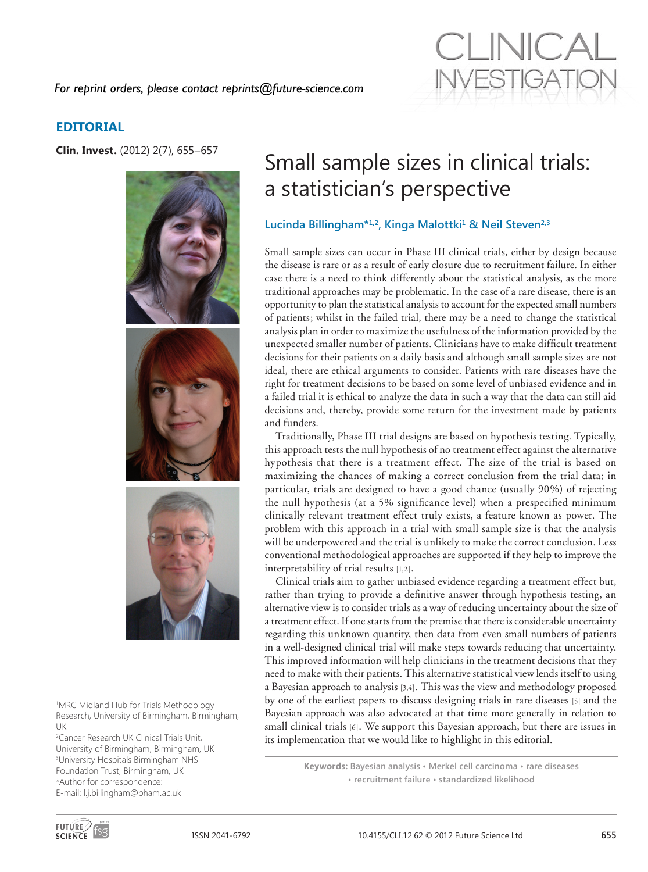*For reprint orders, please contact reprints@future-science.com*

## **EDITORIAL**



1 MRC Midland Hub for Trials Methodology Research, University of Birmingham, Birmingham, UK

2 Cancer Research UK Clinical Trials Unit, University of Birmingham, Birmingham, UK 3 University Hospitals Birmingham NHS Foundation Trust, Birmingham, UK \*Author for correspondence: E-mail: l.j.billingham@bham.ac.uk

# **Clin. Invest.** (2012) 2(7), 655-657 Small sample sizes in clinical trials: a statistician's perspective

### **Lucinda Billingham\*1,2, Kinga Malottki1 & Neil Steven2,3**

Small sample sizes can occur in Phase III clinical trials, either by design because the disease is rare or as a result of early closure due to recruitment failure. In either case there is a need to think differently about the statistical analysis, as the more traditional approaches may be problematic. In the case of a rare disease, there is an opportunity to plan the statistical analysis to account for the expected small numbers of patients; whilst in the failed trial, there may be a need to change the statistical analysis plan in order to maximize the usefulness of the information provided by the unexpected smaller number of patients. Clinicians have to make difficult treatment decisions for their patients on a daily basis and although small sample sizes are not ideal, there are ethical arguments to consider. Patients with rare diseases have the right for treatment decisions to be based on some level of unbiased evidence and in a failed trial it is ethical to analyze the data in such a way that the data can still aid decisions and, thereby, provide some return for the investment made by patients and funders.

Traditionally, Phase III trial designs are based on hypothesis testing. Typically, this approach tests the null hypothesis of no treatment effect against the alternative hypothesis that there is a treatment effect. The size of the trial is based on maximizing the chances of making a correct conclusion from the trial data; in particular, trials are designed to have a good chance (usually 90%) of rejecting the null hypothesis (at a 5% significance level) when a prespecified minimum clinically relevant treatment effect truly exists, a feature known as power. The problem with this approach in a trial with small sample size is that the analysis will be underpowered and the trial is unlikely to make the correct conclusion. Less conventional methodological approaches are supported if they help to improve the interpretability of trial results [1,2].

Clinical trials aim to gather unbiased evidence regarding a treatment effect but, rather than trying to provide a definitive answer through hypothesis testing, an alternative view is to consider trials as a way of reducing uncertainty about the size of a treatment effect. If one starts from the premise that there is considerable uncertainty regarding this unknown quantity, then data from even small numbers of patients in a well-designed clinical trial will make steps towards reducing that uncertainty. This improved information will help clinicians in the treatment decisions that they need to make with their patients. This alternative statistical view lends itself to using a Bayesian approach to analysis [3,4]. This was the view and methodology proposed by one of the earliest papers to discuss designing trials in rare diseases [5] and the Bayesian approach was also advocated at that time more generally in relation to small clinical trials [6]. We support this Bayesian approach, but there are issues in its implementation that we would like to highlight in this editorial.

> **Keywords: Bayesian analysis • Merkel cell carcinoma • rare diseases • recruitment failure • standardized likelihood**

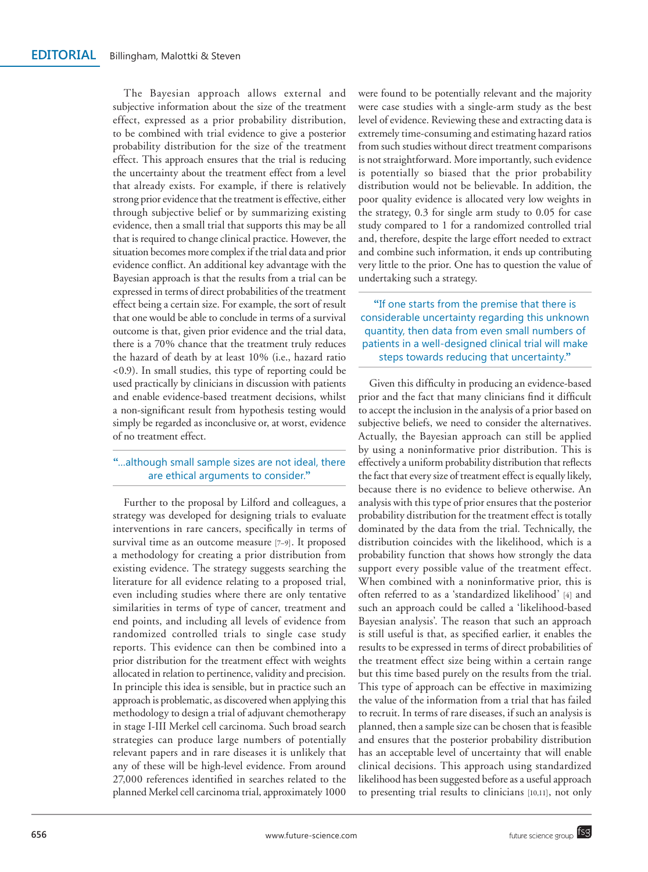The Bayesian approach allows external and subjective information about the size of the treatment effect, expressed as a prior probability distribution, to be combined with trial evidence to give a posterior probability distribution for the size of the treatment effect. This approach ensures that the trial is reducing the uncertainty about the treatment effect from a level that already exists. For example, if there is relatively strong prior evidence that the treatment is effective, either through subjective belief or by summarizing existing evidence, then a small trial that supports this may be all that is required to change clinical practice. However, the situation becomes more complex if the trial data and prior evidence conflict. An additional key advantage with the Bayesian approach is that the results from a trial can be expressed in terms of direct probabilities of the treatment effect being a certain size. For example, the sort of result that one would be able to conclude in terms of a survival outcome is that, given prior evidence and the trial data, there is a 70% chance that the treatment truly reduces the hazard of death by at least 10% (i.e., hazard ratio <0.9). In small studies, this type of reporting could be used practically by clinicians in discussion with patients and enable evidence-based treatment decisions, whilst a non-significant result from hypothesis testing would simply be regarded as inconclusive or, at worst, evidence of no treatment effect.

#### **"**…although small sample sizes are not ideal, there are ethical arguments to consider.**"**

Further to the proposal by Lilford and colleagues, a strategy was developed for designing trials to evaluate interventions in rare cancers, specifically in terms of survival time as an outcome measure [7–9]. It proposed a methodology for creating a prior distribution from existing evidence. The strategy suggests searching the literature for all evidence relating to a proposed trial, even including studies where there are only tentative similarities in terms of type of cancer, treatment and end points, and including all levels of evidence from randomized controlled trials to single case study reports. This evidence can then be combined into a prior distribution for the treatment effect with weights allocated in relation to pertinence, validity and precision. In principle this idea is sensible, but in practice such an approach is problematic, as discovered when applying this methodology to design a trial of adjuvant chemotherapy in stage I-III Merkel cell carcinoma. Such broad search strategies can produce large numbers of potentially relevant papers and in rare diseases it is unlikely that any of these will be high-level evidence. From around 27,000 references identified in searches related to the planned Merkel cell carcinoma trial, approximately 1000

were found to be potentially relevant and the majority were case studies with a single-arm study as the best level of evidence. Reviewing these and extracting data is extremely time-consuming and estimating hazard ratios from such studies without direct treatment comparisons is not straightforward. More importantly, such evidence is potentially so biased that the prior probability distribution would not be believable. In addition, the poor quality evidence is allocated very low weights in the strategy, 0.3 for single arm study to 0.05 for case study compared to 1 for a randomized controlled trial and, therefore, despite the large effort needed to extract and combine such information, it ends up contributing very little to the prior. One has to question the value of undertaking such a strategy.

**"**If one starts from the premise that there is considerable uncertainty regarding this unknown quantity, then data from even small numbers of patients in a well-designed clinical trial will make steps towards reducing that uncertainty.**"**

Given this difficulty in producing an evidence-based prior and the fact that many clinicians find it difficult to accept the inclusion in the analysis of a prior based on subjective beliefs, we need to consider the alternatives. Actually, the Bayesian approach can still be applied by using a noninformative prior distribution. This is effectively a uniform probability distribution that reflects the fact that every size of treatment effect is equally likely, because there is no evidence to believe otherwise. An analysis with this type of prior ensures that the posterior probability distribution for the treatment effect is totally dominated by the data from the trial. Technically, the distribution coincides with the likelihood, which is a probability function that shows how strongly the data support every possible value of the treatment effect. When combined with a noninformative prior, this is often referred to as a 'standardized likelihood' [4] and such an approach could be called a 'likelihood-based Bayesian analysis'. The reason that such an approach is still useful is that, as specified earlier, it enables the results to be expressed in terms of direct probabilities of the treatment effect size being within a certain range but this time based purely on the results from the trial. This type of approach can be effective in maximizing the value of the information from a trial that has failed to recruit. In terms of rare diseases, if such an analysis is planned, then a sample size can be chosen that is feasible and ensures that the posterior probability distribution has an acceptable level of uncertainty that will enable clinical decisions. This approach using standardized likelihood has been suggested before as a useful approach to presenting trial results to clinicians [10,11], not only